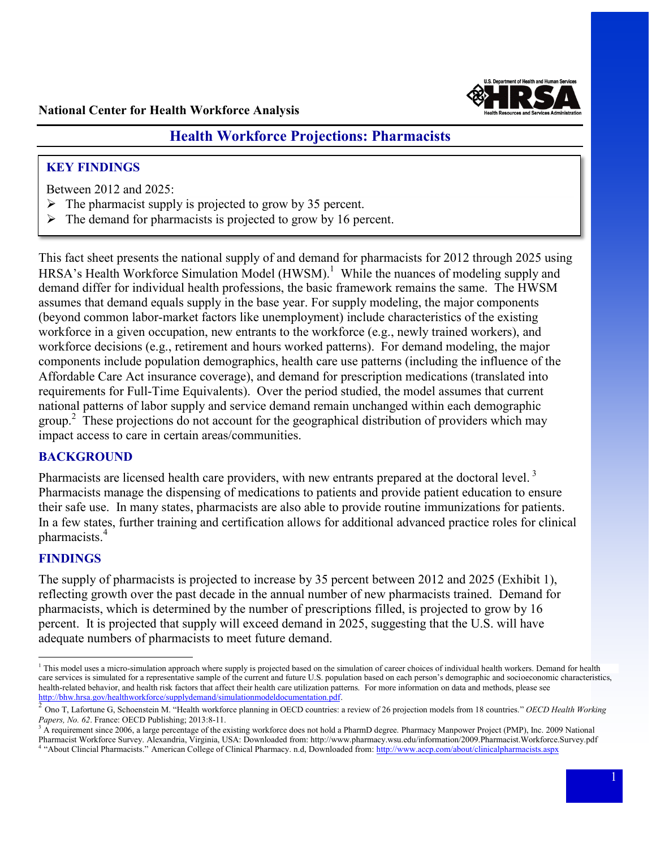

# **Health Workforce Projections: Pharmacists**

## **KEY FINDINGS**

Between 2012 and 2025:

- $\triangleright$  The pharmacist supply is projected to grow by 35 percent.
- $\triangleright$  The demand for pharmacists is projected to grow by 16 percent.

 This fact sheet presents the national supply of and demand for pharmacists for 2012 through 2025 using HRSA's Health Workforce Simulation Model  $(HWSM)$ .<sup>1</sup> While the nuances of modeling supply and (beyond common labor-market factors like unemployment) include characteristics of the existing workforce in a given occupation, new entrants to the workforce (e.g., newly trained workers), and components include population demographics, health care use patterns (including the influence of the requirements for Full-Time Equivalents). Over the period studied, the model assumes that current national patterns of labor supply and service demand remain unchanged within each demographic group.<sup>2</sup> These projections do not account for the geographical distribution of providers which may demand differ for individual health professions, the basic framework remains the same. The HWSM assumes that demand equals supply in the base year. For supply modeling, the major components workforce decisions (e.g., retirement and hours worked patterns). For demand modeling, the major Affordable Care Act insurance coverage), and demand for prescription medications (translated into impact access to care in certain areas/communities.

### **BACKGROUND**

Pharmacists are licensed health care providers, with new entrants prepared at the doctoral level.<sup>3</sup> their safe use. In many states, pharmacists are also able to provide routine immunizations for patients. their safe use. In many states, pharmacists are also able to provide routine immunizations for patients. In a few states, further training and certification allows for additional advanced practice roles for clinical Pharmacists manage the dispensing of medications to patients and provide patient education to ensure pharmacists.<sup>4</sup>

### **FINDINGS**

 $\overline{a}$ 

 The supply of pharmacists is projected to increase by 35 percent between 2012 and 2025 (Exhibit 1), reflecting growth over the past decade in the annual number of new pharmacists trained. Demand for percent. It is projected that supply will exceed demand in 2025, suggesting that the U.S. will have pharmacists, which is determined by the number of prescriptions filled, is projected to grow by 16 adequate numbers of pharmacists to meet future demand.

 care services is simulated for a representative sample of the current and future U.S. population based on each person's demographic and socioeconomic characteristics, health-related behavior, and health risk factors that affect their health care utilization patterns. For more information on data and methods, please see [http://bhw.hrsa.gov/healthworkforce/supplydemand/simulationmodeldocumentation.pdf.](http://bhw.hrsa.gov/healthworkforce/supplydemand/simulationmodeldocumentation.pdf) <sup>1</sup> This model uses a micro-simulation approach where supply is projected based on the simulation of career choices of individual health workers. Demand for health

 2 Ono T, Lafortune G, Schoenstein M. "Health workforce planning in OECD countries: a review of 26 projection models from 18 countries." *OECD Health Working* Papers, No. 62. France: OECD Publishing; 2013:8-11.

*Papers, No. 62*. France: OECD Publishing; 2013:8-11.<br><sup>3</sup> A requirement since 2006, a large percentage of the existing workforce does not hold a PharmD degree. Pharmacy Manpower Project (PMP), Inc. 2009 National Pharmacist Workforce Survey. Alexandria, Virginia, USA: Downloaded from: http://www.pharmacy.wsu.edu/information/2009.Pharmacist.Workforce.Survey.pdf Pharmacist Workforce Survey. Alexandria, Virginia, USA: Downloaded from: http://www.pharmacy.wsu.edu/information/2009.Pharmacist.Workforce.Survey.pdf<br><sup>4</sup> "About Clincial Pharmacists." American College of Clinical Pharmacy.